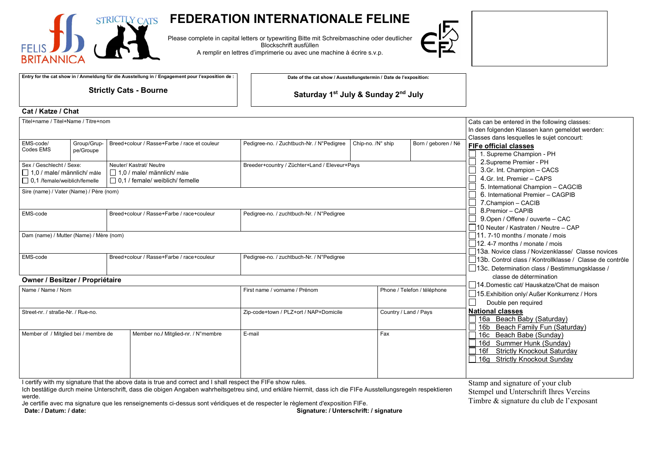

## **FEDERATION INTERNATIONALE FELINE**

Please complete in capital letters or typewriting Bitte mit Schreibmaschine oder deutlicher Blockschrift ausfüllen A remplir en lettres d'imprimerie ou avec une machine à écrire s.v.p.



**Entry for the cat show in / Anmeldung für die Ausstellung in / Engagement pour l'exposition de :**

**Strictly Cats - Bourne**

**Date of the cat show / Ausstellungstermin / Date de l'exposition:**

**Saturday 1st July & Sunday 2nd July**

| Cat / Katze / Chat                                                                                                                                                                                                                                        |                          |                                               |                                              |                                           |                                                                                                                                                                                                                                                                                        |                                                                                                              |                                                                                                                                    |  |  |
|-----------------------------------------------------------------------------------------------------------------------------------------------------------------------------------------------------------------------------------------------------------|--------------------------|-----------------------------------------------|----------------------------------------------|-------------------------------------------|----------------------------------------------------------------------------------------------------------------------------------------------------------------------------------------------------------------------------------------------------------------------------------------|--------------------------------------------------------------------------------------------------------------|------------------------------------------------------------------------------------------------------------------------------------|--|--|
| Titel+name / Titel+Name / Titre+nom                                                                                                                                                                                                                       |                          |                                               |                                              |                                           |                                                                                                                                                                                                                                                                                        |                                                                                                              | Cats can be entered in the following classes:<br>In den folgenden Klassen kann gemeldet werden:                                    |  |  |
| EMS-code/<br>Codes EMS                                                                                                                                                                                                                                    | Group/Grup-<br>pe/Groupe |                                               | Breed+colour / Rasse+Farbe / race et couleur | Pedigree-no. / Zuchtbuch-Nr. / N°Pedigree | Chip-no. /N° ship                                                                                                                                                                                                                                                                      | Born / geboren / Né                                                                                          | Classes dans lesquelles le sujet concourt:<br><b>FIFe official classes</b><br>1. Supreme Champion - PH                             |  |  |
| Sex / Geschlecht / Sexe:<br>Neuter/ Kastrat/ Neutre<br>$\Box$ 1,0 / male/ männlich/ mâle<br>$\Box$ 1,0 / male/ männlich/ mâle<br>$\Box$ 0,1 /female/weiblich/femelle<br>$\Box$ 0.1 / female/ weiblich/ femelle<br>Sire (name) / Vater (Name) / Père (nom) |                          | Breeder+country / Züchter+Land / Eleveur+Pays |                                              |                                           | 2.Supreme Premier - PH<br>3.Gr. Int. Champion - CACS<br>4.Gr. Int. Premier - CAPS<br>5. International Champion - CAGCIB<br>6. International Premier - CAGPIB<br>7.Champion - CACIB<br>8. Premior - CAPIB<br>9. Open / Offene / ouverte - CAC<br>□ 10 Neuter / Kastraten / Neutre – CAP |                                                                                                              |                                                                                                                                    |  |  |
| EMS-code<br>Breed+colour / Rasse+Farbe / race+couleur                                                                                                                                                                                                     |                          | Pedigree-no. / zuchtbuch-Nr. / N°Pedigree     |                                              |                                           |                                                                                                                                                                                                                                                                                        |                                                                                                              |                                                                                                                                    |  |  |
| Dam (name) / Mutter (Name) / Mère (nom)                                                                                                                                                                                                                   |                          |                                               |                                              |                                           |                                                                                                                                                                                                                                                                                        |                                                                                                              | $\Box$ 11.7-10 months / monate / mois<br>12.4-7 months / monate / mois<br>13a. Novice class / Novizenklasse/ Classe novices        |  |  |
| EMS-code<br>Breed+colour / Rasse+Farbe / race+couleur                                                                                                                                                                                                     |                          |                                               | Pedigree-no. / zuchtbuch-Nr. / N°Pedigree    |                                           |                                                                                                                                                                                                                                                                                        | 13b. Control class / Kontrollklasse / Classe de contrôle<br>□ 13c. Determination class / Bestimmungsklasse / |                                                                                                                                    |  |  |
| Owner / Besitzer / Propriétaire                                                                                                                                                                                                                           |                          |                                               |                                              |                                           |                                                                                                                                                                                                                                                                                        |                                                                                                              | classe de détermination                                                                                                            |  |  |
| Name / Name / Nom                                                                                                                                                                                                                                         |                          | First name / vorname / Prénom                 |                                              | Phone / Telefon / téléphone               | 14.Domestic cat/ Hauskatze/Chat de maison<br>□ 15. Exhibition only/ Außer Konkurrenz / Hors<br>Double pen required                                                                                                                                                                     |                                                                                                              |                                                                                                                                    |  |  |
| Street-nr. / straße-Nr. / Rue-no.                                                                                                                                                                                                                         |                          | Zip-code+town / PLZ+ort / NAP+Domicile        |                                              | Country / Land / Pays                     | <b>National classes</b><br>16a Beach Baby (Saturday)<br>16b Beach Family Fun (Saturday)                                                                                                                                                                                                |                                                                                                              |                                                                                                                                    |  |  |
| Member of / Mitglied bei / membre de                                                                                                                                                                                                                      |                          |                                               | Member no./ Mitglied-nr. / N°membre          | E-mail                                    | Fax                                                                                                                                                                                                                                                                                    |                                                                                                              | 16с<br>Beach Babe (Sunday)<br>16d Summer Hunk (Sunday)<br>16f<br><b>Strictly Knockout Saturday</b><br>16g Strictly Knockout Sunday |  |  |

I certify with my signature that the above data is true and correct and I shall respect the FIFe show rules.

Ich bestätige durch meine Unterschrift, dass die obigen Angaben wahrheitsgetreu sind, und erkläre hiermit, dass ich die FIFe Ausstellungsregeln respektieren werde.

Je certifie avec ma signature que les renseignements ci-dessus sont véridiques et de respecter le règlement d'exposition FIFe.<br>Signature: / Unterschrift: **Date: / Datum: / date: Signature: / Unterschrift: / signature**

Stamp and signature of your club Stempel und Unterschrift Ihres Vereins Timbre & signature du club de l'exposant